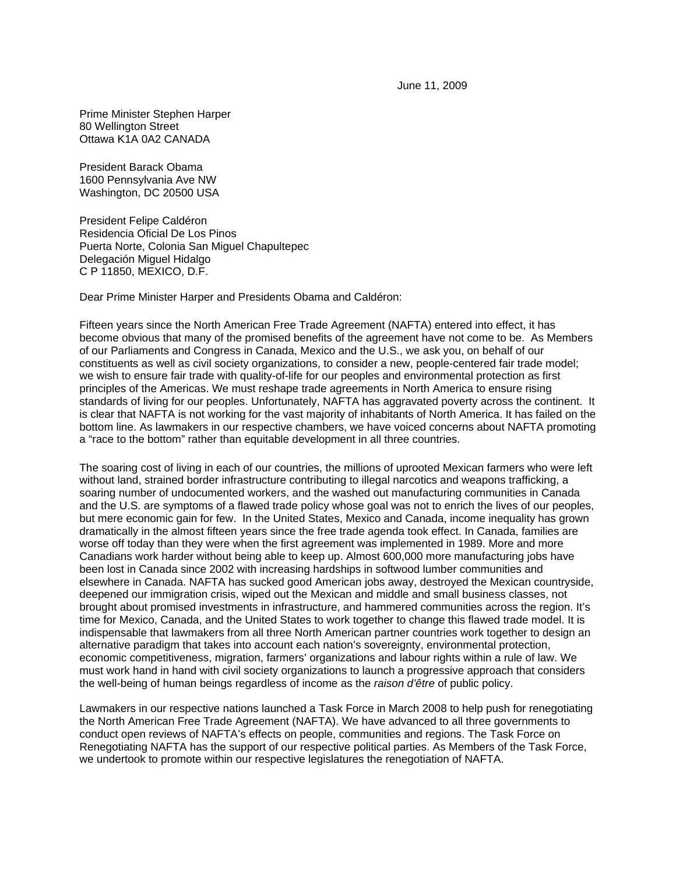June 11, 2009

Prime Minister Stephen Harper 80 Wellington Street Ottawa K1A 0A2 CANADA

President Barack Obama 1600 Pennsylvania Ave NW Washington, DC 20500 USA

President Felipe Caldéron Residencia Oficial De Los Pinos Puerta Norte, Colonia San Miguel Chapultepec Delegación Miguel Hidalgo C P 11850, MEXICO, D.F.

Dear Prime Minister Harper and Presidents Obama and Caldéron:

Fifteen years since the North American Free Trade Agreement (NAFTA) entered into effect, it has become obvious that many of the promised benefits of the agreement have not come to be. As Members of our Parliaments and Congress in Canada, Mexico and the U.S., we ask you, on behalf of our constituents as well as civil society organizations, to consider a new, people-centered fair trade model; we wish to ensure fair trade with quality-of-life for our peoples and environmental protection as first principles of the Americas. We must reshape trade agreements in North America to ensure rising standards of living for our peoples. Unfortunately, NAFTA has aggravated poverty across the continent. It is clear that NAFTA is not working for the vast majority of inhabitants of North America. It has failed on the bottom line. As lawmakers in our respective chambers, we have voiced concerns about NAFTA promoting a "race to the bottom" rather than equitable development in all three countries.

The soaring cost of living in each of our countries, the millions of uprooted Mexican farmers who were left without land, strained border infrastructure contributing to illegal narcotics and weapons trafficking, a soaring number of undocumented workers, and the washed out manufacturing communities in Canada and the U.S. are symptoms of a flawed trade policy whose goal was not to enrich the lives of our peoples, but mere economic gain for few. In the United States, Mexico and Canada, income inequality has grown dramatically in the almost fifteen years since the free trade agenda took effect. In Canada, families are worse off today than they were when the first agreement was implemented in 1989. More and more Canadians work harder without being able to keep up. Almost 600,000 more manufacturing jobs have been lost in Canada since 2002 with increasing hardships in softwood lumber communities and elsewhere in Canada. NAFTA has sucked good American jobs away, destroyed the Mexican countryside, deepened our immigration crisis, wiped out the Mexican and middle and small business classes, not brought about promised investments in infrastructure, and hammered communities across the region. It's time for Mexico, Canada, and the United States to work together to change this flawed trade model. It is indispensable that lawmakers from all three North American partner countries work together to design an alternative paradigm that takes into account each nation's sovereignty, environmental protection, economic competitiveness, migration, farmers' organizations and labour rights within a rule of law. We must work hand in hand with civil society organizations to launch a progressive approach that considers the well-being of human beings regardless of income as the *raison d'être* of public policy.

Lawmakers in our respective nations launched a Task Force in March 2008 to help push for renegotiating the North American Free Trade Agreement (NAFTA). We have advanced to all three governments to conduct open reviews of NAFTA's effects on people, communities and regions. The Task Force on Renegotiating NAFTA has the support of our respective political parties. As Members of the Task Force, we undertook to promote within our respective legislatures the renegotiation of NAFTA.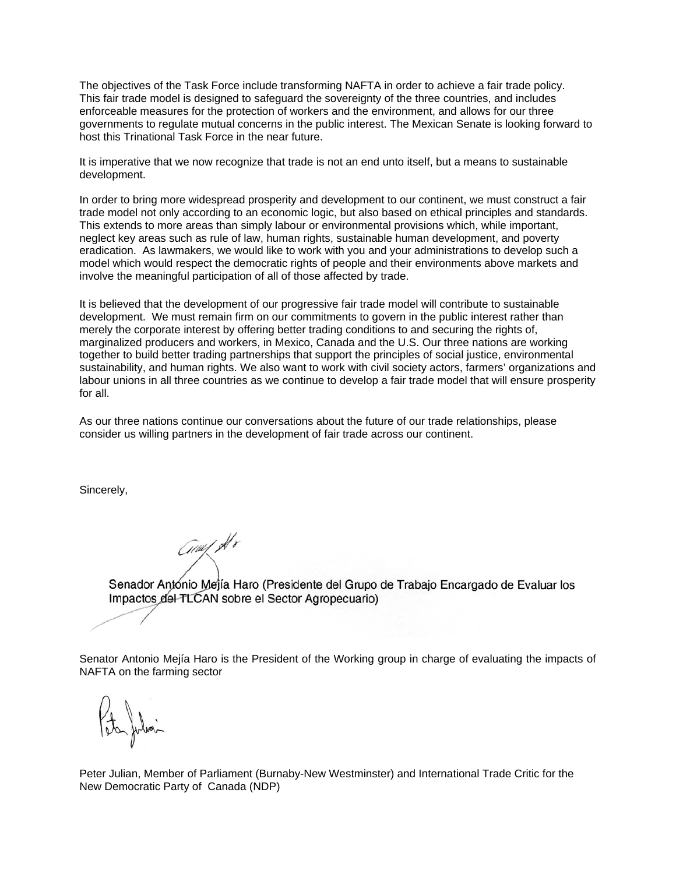The objectives of the Task Force include transforming NAFTA in order to achieve a fair trade policy. This fair trade model is designed to safeguard the sovereignty of the three countries, and includes enforceable measures for the protection of workers and the environment, and allows for our three governments to regulate mutual concerns in the public interest. The Mexican Senate is looking forward to host this Trinational Task Force in the near future.

It is imperative that we now recognize that trade is not an end unto itself, but a means to sustainable development.

In order to bring more widespread prosperity and development to our continent, we must construct a fair trade model not only according to an economic logic, but also based on ethical principles and standards. This extends to more areas than simply labour or environmental provisions which, while important, neglect key areas such as rule of law, human rights, sustainable human development, and poverty eradication. As lawmakers, we would like to work with you and your administrations to develop such a model which would respect the democratic rights of people and their environments above markets and involve the meaningful participation of all of those affected by trade.

It is believed that the development of our progressive fair trade model will contribute to sustainable development. We must remain firm on our commitments to govern in the public interest rather than merely the corporate interest by offering better trading conditions to and securing the rights of, marginalized producers and workers, in Mexico, Canada and the U.S. Our three nations are working together to build better trading partnerships that support the principles of social justice, environmental sustainability, and human rights. We also want to work with civil society actors, farmers' organizations and labour unions in all three countries as we continue to develop a fair trade model that will ensure prosperity for all.

As our three nations continue our conversations about the future of our trade relationships, please consider us willing partners in the development of fair trade across our continent.

Sincerely,

amy Hr

Senador António Mejía Haro (Presidente del Grupo de Trabajo Encargado de Evaluar los Impactos del TLCAN sobre el Sector Agropecuario)

Senator Antonio Mejía Haro is the President of the Working group in charge of evaluating the impacts of NAFTA on the farming sector

Peter Julian, Member of Parliament (Burnaby-New Westminster) and International Trade Critic for the New Democratic Party of Canada (NDP)